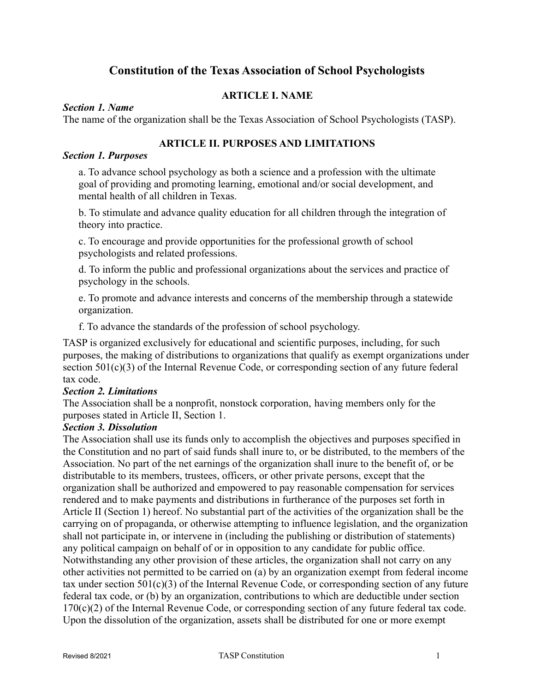# **Constitution of the Texas Association of School Psychologists**

# **ARTICLE I. NAME**

### *Section 1. Name*

The name of the organization shall be the Texas Association of School Psychologists (TASP).

# **ARTICLE II. PURPOSES AND LIMITATIONS**

### *Section 1. Purposes*

a. To advance school psychology as both a science and a profession with the ultimate goal of providing and promoting learning, emotional and/or social development, and mental health of all children in Texas.

b. To stimulate and advance quality education for all children through the integration of theory into practice.

c. To encourage and provide opportunities for the professional growth of school psychologists and related professions.

d. To inform the public and professional organizations about the services and practice of psychology in the schools.

e. To promote and advance interests and concerns of the membership through a statewide organization.

f. To advance the standards of the profession of school psychology.

TASP is organized exclusively for educational and scientific purposes, including, for such purposes, the making of distributions to organizations that qualify as exempt organizations under section 501(c)(3) of the Internal Revenue Code, or corresponding section of any future federal tax code.

### *Section 2. Limitations*

The Association shall be a nonprofit, nonstock corporation, having members only for the purposes stated in Article II, Section 1.

### *Section 3. Dissolution*

The Association shall use its funds only to accomplish the objectives and purposes specified in the Constitution and no part of said funds shall inure to, or be distributed, to the members of the Association. No part of the net earnings of the organization shall inure to the benefit of, or be distributable to its members, trustees, officers, or other private persons, except that the organization shall be authorized and empowered to pay reasonable compensation for services rendered and to make payments and distributions in furtherance of the purposes set forth in Article II (Section 1) hereof. No substantial part of the activities of the organization shall be the carrying on of propaganda, or otherwise attempting to influence legislation, and the organization shall not participate in, or intervene in (including the publishing or distribution of statements) any political campaign on behalf of or in opposition to any candidate for public office. Notwithstanding any other provision of these articles, the organization shall not carry on any other activities not permitted to be carried on (a) by an organization exempt from federal income tax under section 501(c)(3) of the Internal Revenue Code, or corresponding section of any future federal tax code, or (b) by an organization, contributions to which are deductible under section 170(c)(2) of the Internal Revenue Code, or corresponding section of any future federal tax code. Upon the dissolution of the organization, assets shall be distributed for one or more exempt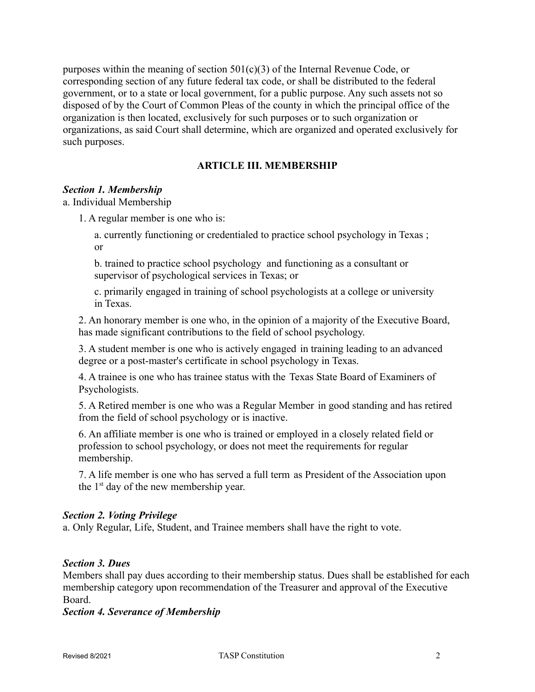purposes within the meaning of section  $501(c)(3)$  of the Internal Revenue Code, or corresponding section of any future federal tax code, or shall be distributed to the federal government, or to a state or local government, for a public purpose. Any such assets not so disposed of by the Court of Common Pleas of the county in which the principal office of the organization is then located, exclusively for such purposes or to such organization or organizations, as said Court shall determine, which are organized and operated exclusively for such purposes.

# **ARTICLE III. MEMBERSHIP**

# *Section 1. Membership*

a. Individual Membership

1. A regular member is one who is:

a. currently functioning or credentialed to practice school psychology in Texas ; or

b. trained to practice school psychology and functioning as a consultant or supervisor of psychological services in Texas; or

c. primarily engaged in training of school psychologists at a college or university in Texas.

2. An honorary member is one who, in the opinion of a majority of the Executive Board, has made significant contributions to the field of school psychology.

3. A student member is one who is actively engaged in training leading to an advanced degree or a post-master's certificate in school psychology in Texas.

4. A trainee is one who has trainee status with the Texas State Board of Examiners of Psychologists.

5. A Retired member is one who was a Regular Member in good standing and has retired from the field of school psychology or is inactive.

6. An affiliate member is one who is trained or employed in a closely related field or profession to school psychology, or does not meet the requirements for regular membership.

7. A life member is one who has served a full term as President of the Association upon the  $1<sup>st</sup>$  day of the new membership year.

### *Section 2. Voting Privilege*

a. Only Regular, Life, Student, and Trainee members shall have the right to vote.

### *Section 3. Dues*

Members shall pay dues according to their membership status. Dues shall be established for each membership category upon recommendation of the Treasurer and approval of the Executive Board.

#### *Section 4. Severance of Membership*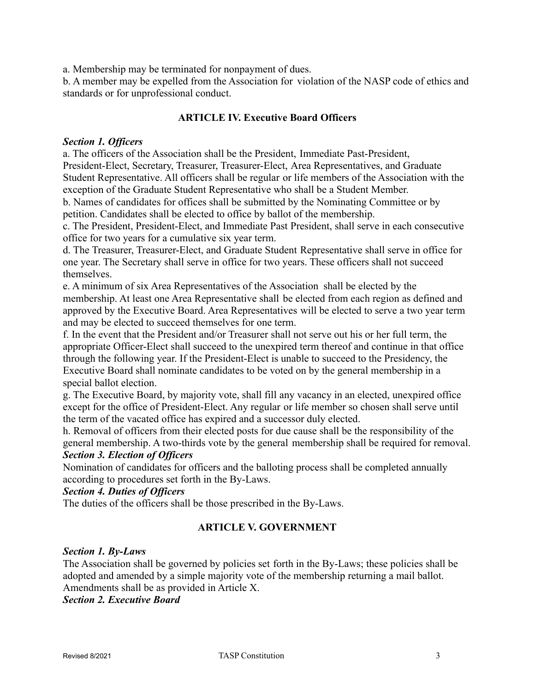a. Membership may be terminated for nonpayment of dues.

b. A member may be expelled from the Association for violation of the NASP code of ethics and standards or for unprofessional conduct.

# **ARTICLE IV. Executive Board Officers**

### *Section 1. Officers*

a. The officers of the Association shall be the President, Immediate Past-President, President-Elect, Secretary, Treasurer, Treasurer-Elect, Area Representatives, and Graduate Student Representative. All officers shall be regular or life members of the Association with the exception of the Graduate Student Representative who shall be a Student Member.

b. Names of candidates for offices shall be submitted by the Nominating Committee or by petition. Candidates shall be elected to office by ballot of the membership.

c. The President, President-Elect, and Immediate Past President, shall serve in each consecutive office for two years for a cumulative six year term.

d. The Treasurer, Treasurer-Elect, and Graduate Student Representative shall serve in office for one year. The Secretary shall serve in office for two years. These officers shall not succeed themselves.

e. A minimum of six Area Representatives of the Association shall be elected by the membership. At least one Area Representative shall be elected from each region as defined and approved by the Executive Board. Area Representatives will be elected to serve a two year term and may be elected to succeed themselves for one term.

f. In the event that the President and/or Treasurer shall not serve out his or her full term, the appropriate Officer-Elect shall succeed to the unexpired term thereof and continue in that office through the following year. If the President-Elect is unable to succeed to the Presidency, the Executive Board shall nominate candidates to be voted on by the general membership in a special ballot election.

g. The Executive Board, by majority vote, shall fill any vacancy in an elected, unexpired office except for the office of President-Elect. Any regular or life member so chosen shall serve until the term of the vacated office has expired and a successor duly elected.

h. Removal of officers from their elected posts for due cause shall be the responsibility of the general membership. A two-thirds vote by the general membership shall be required for removal.

### *Section 3. Election of Officers*

Nomination of candidates for officers and the balloting process shall be completed annually according to procedures set forth in the By-Laws.

# *Section 4. Duties of Officers*

The duties of the officers shall be those prescribed in the By-Laws.

### **ARTICLE V. GOVERNMENT**

#### *Section 1. By-Laws*

The Association shall be governed by policies set forth in the By-Laws; these policies shall be adopted and amended by a simple majority vote of the membership returning a mail ballot. Amendments shall be as provided in Article X.

*Section 2. Executive Board*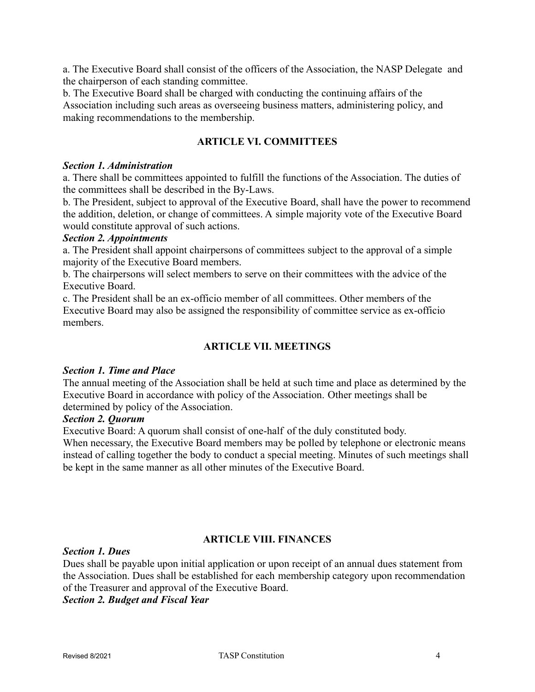a. The Executive Board shall consist of the officers of the Association, the NASP Delegate and the chairperson of each standing committee.

b. The Executive Board shall be charged with conducting the continuing affairs of the Association including such areas as overseeing business matters, administering policy, and making recommendations to the membership.

# **ARTICLE VI. COMMITTEES**

#### *Section 1. Administration*

a. There shall be committees appointed to fulfill the functions of the Association. The duties of the committees shall be described in the By-Laws.

b. The President, subject to approval of the Executive Board, shall have the power to recommend the addition, deletion, or change of committees. A simple majority vote of the Executive Board would constitute approval of such actions.

#### *Section 2. Appointments*

a. The President shall appoint chairpersons of committees subject to the approval of a simple majority of the Executive Board members.

b. The chairpersons will select members to serve on their committees with the advice of the Executive Board.

c. The President shall be an ex-officio member of all committees. Other members of the Executive Board may also be assigned the responsibility of committee service as ex-officio members.

# **ARTICLE VII. MEETINGS**

#### *Section 1. Time and Place*

The annual meeting of the Association shall be held at such time and place as determined by the Executive Board in accordance with policy of the Association. Other meetings shall be determined by policy of the Association.

### *Section 2. Quorum*

Executive Board: A quorum shall consist of one-half of the duly constituted body.

When necessary, the Executive Board members may be polled by telephone or electronic means instead of calling together the body to conduct a special meeting. Minutes of such meetings shall be kept in the same manner as all other minutes of the Executive Board.

### **ARTICLE VIII. FINANCES**

#### *Section 1. Dues*

Dues shall be payable upon initial application or upon receipt of an annual dues statement from the Association. Dues shall be established for each membership category upon recommendation of the Treasurer and approval of the Executive Board.

*Section 2. Budget and Fiscal Year*